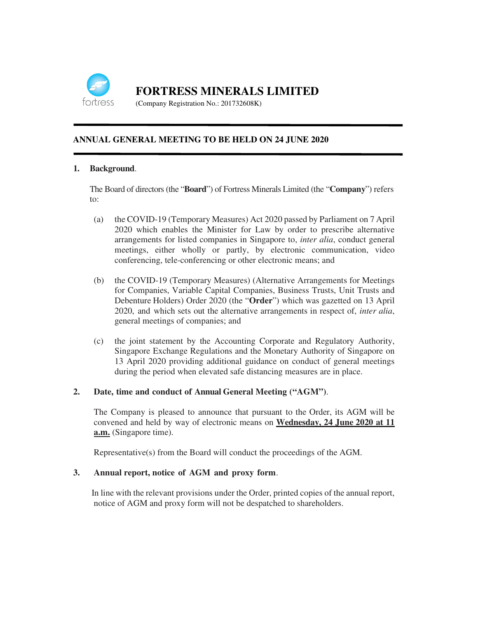

# **ANNUAL GENERAL MEETING TO BE HELD ON 24 JUNE 2020**

# **1. Background**.

The Board of directors (the "**Board**") of Fortress Minerals Limited (the "**Company**") refers to:

- (a) the COVID-19 (Temporary Measures) Act 2020 passed by Parliament on 7 April 2020 which enables the Minister for Law by order to prescribe alternative arrangements for listed companies in Singapore to, *inter alia*, conduct general meetings, either wholly or partly, by electronic communication, video conferencing, tele-conferencing or other electronic means; and
- (b) the COVID-19 (Temporary Measures) (Alternative Arrangements for Meetings for Companies, Variable Capital Companies, Business Trusts, Unit Trusts and Debenture Holders) Order 2020 (the "**Order**") which was gazetted on 13 April 2020, and which sets out the alternative arrangements in respect of, *inter alia*, general meetings of companies; and
- (c) the joint statement by the Accounting Corporate and Regulatory Authority, Singapore Exchange Regulations and the Monetary Authority of Singapore on 13 April 2020 providing additional guidance on conduct of general meetings during the period when elevated safe distancing measures are in place.

# **2. Date, time and conduct of Annual General Meeting ("AGM")**.

 The Company is pleased to announce that pursuant to the Order, its AGM will be convened and held by way of electronic means on **Wednesday, 24 June 2020 at 11 a.m.** (Singapore time).

Representative(s) from the Board will conduct the proceedings of the AGM.

# **3. Annual report, notice of AGM and proxy form**.

 In line with the relevant provisions under the Order, printed copies of the annual report, notice of AGM and proxy form will not be despatched to shareholders.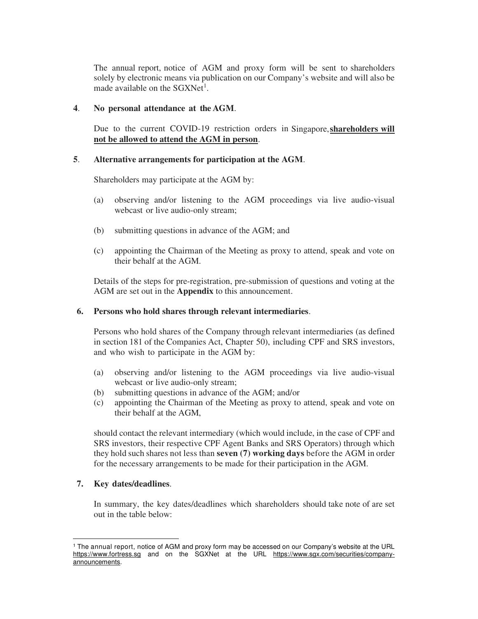The annual report, notice of AGM and proxy form will be sent to shareholders solely by electronic means via publication on our Company's website and will also be made available on the SGXNet<sup>1</sup>.

### **4**. **No personal attendance at the AGM**.

Due to the current COVID-19 restriction orders in Singapore, shareholders will **not be allowed to attend the AGM in person**.

## **5**. **Alternative arrangements for participation at the AGM**.

Shareholders may participate at the AGM by:

- (a) observing and/or listening to the AGM proceedings via live audio-visual webcast or live audio-only stream;
- (b) submitting questions in advance of the AGM; and
- (c) appointing the Chairman of the Meeting as proxy to attend, speak and vote on their behalf at the AGM.

Details of the steps for pre-registration, pre-submission of questions and voting at the AGM are set out in the **Appendix** to this announcement.

### **6. Persons who hold shares through relevant intermediaries**.

 Persons who hold shares of the Company through relevant intermediaries (as defined in section 181 of the Companies Act, Chapter 50), including CPF and SRS investors, and who wish to participate in the AGM by:

- (a) observing and/or listening to the AGM proceedings via live audio-visual webcast or live audio-only stream;
- (b) submitting questions in advance of the AGM; and/or
- (c) appointing the Chairman of the Meeting as proxy to attend, speak and vote on their behalf at the AGM,

should contact the relevant intermediary (which would include, in the case of CPF and SRS investors, their respective CPF Agent Banks and SRS Operators) through which they hold such shares not less than **seven (7) working days** before the AGM in order for the necessary arrangements to be made for their participation in the AGM.

# **7. Key dates/deadlines**.

 In summary, the key dates/deadlines which shareholders should take note of are set out in the table below:

<sup>1</sup> The annual report, notice of AGM and proxy form may be accessed on our Company's website at the URL https://www.fortress.sg and on the SGXNet at the URL https://www.sgx.com/securities/companyannouncements.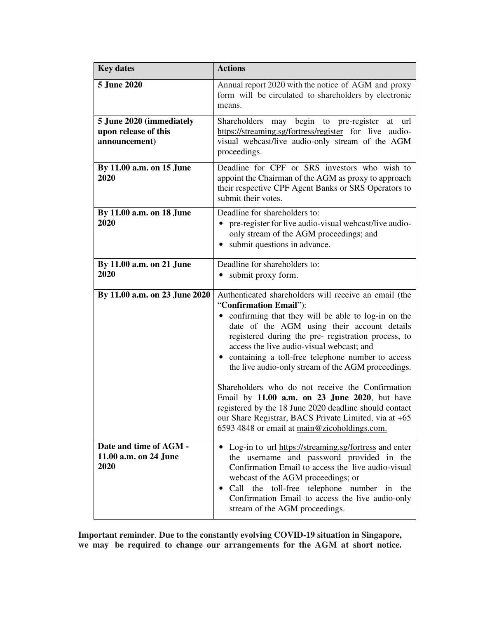| <b>Key dates</b>                                                  | <b>Actions</b>                                                                                                                                                                                                                                                                                                                                                                                                                                                                                                                                                                                                                                                                             |
|-------------------------------------------------------------------|--------------------------------------------------------------------------------------------------------------------------------------------------------------------------------------------------------------------------------------------------------------------------------------------------------------------------------------------------------------------------------------------------------------------------------------------------------------------------------------------------------------------------------------------------------------------------------------------------------------------------------------------------------------------------------------------|
| 5 June 2020                                                       | Annual report 2020 with the notice of AGM and proxy<br>form will be circulated to shareholders by electronic<br>means.                                                                                                                                                                                                                                                                                                                                                                                                                                                                                                                                                                     |
| 5 June 2020 (immediately<br>upon release of this<br>announcement) | Shareholders may begin to pre-register<br>url<br>at<br>https://streaming.sg/fortress/register for live<br>audio-<br>visual webcast/live audio-only stream of the AGM<br>proceedings.                                                                                                                                                                                                                                                                                                                                                                                                                                                                                                       |
| By 11.00 a.m. on 15 June<br>2020                                  | Deadline for CPF or SRS investors who wish to<br>appoint the Chairman of the AGM as proxy to approach<br>their respective CPF Agent Banks or SRS Operators to<br>submit their votes.                                                                                                                                                                                                                                                                                                                                                                                                                                                                                                       |
| By 11.00 a.m. on 18 June<br>2020                                  | Deadline for shareholders to:<br>• pre-register for live audio-visual webcast/live audio-<br>only stream of the AGM proceedings; and<br>submit questions in advance.                                                                                                                                                                                                                                                                                                                                                                                                                                                                                                                       |
| By 11.00 a.m. on 21 June<br>2020                                  | Deadline for shareholders to:<br>• submit proxy form.                                                                                                                                                                                                                                                                                                                                                                                                                                                                                                                                                                                                                                      |
| By 11.00 a.m. on 23 June 2020                                     | Authenticated shareholders will receive an email (the<br>"Confirmation Email"):<br>confirming that they will be able to log-in on the<br>$\bullet$<br>date of the AGM using their account details<br>registered during the pre- registration process, to<br>access the live audio-visual webcast; and<br>• containing a toll-free telephone number to access<br>the live audio-only stream of the AGM proceedings.<br>Shareholders who do not receive the Confirmation<br>Email by 11.00 a.m. on 23 June 2020, but have<br>registered by the 18 June 2020 deadline should contact<br>our Share Registrar, BACS Private Limited, via at +65<br>6593 4848 or email at main@zicoholdings.com. |
| Date and time of AGM -<br>11.00 a.m. on 24 June<br>2020           | Log-in to url https://streaming.sg/fortress and enter<br>the username and password provided in the<br>Confirmation Email to access the live audio-visual<br>webcast of the AGM proceedings; or<br>the toll-free telephone number in the<br>Call<br>$\bullet$<br>Confirmation Email to access the live audio-only<br>stream of the AGM proceedings.                                                                                                                                                                                                                                                                                                                                         |

**Important reminder**. **Due to the constantly evolving COVID-19 situation in Singapore, we may be required to change our arrangements for the AGM at short notice.**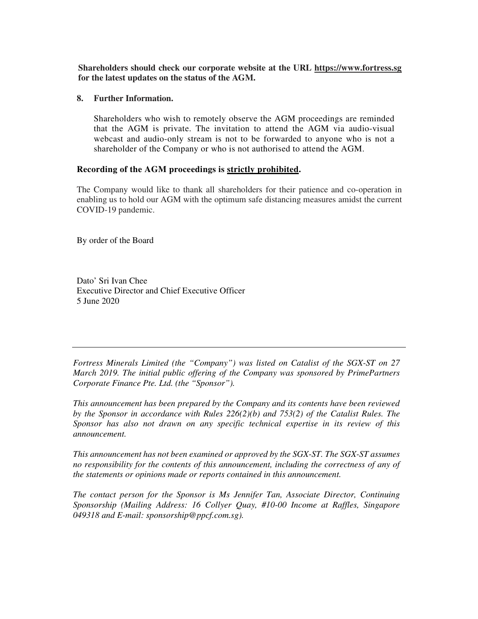**Shareholders should check our corporate website at the URL https://www.fortress.sg for the latest updates on the status of the AGM.** 

#### **8. Further Information.**

 Shareholders who wish to remotely observe the AGM proceedings are reminded that the AGM is private. The invitation to attend the AGM via audio-visual webcast and audio-only stream is not to be forwarded to anyone who is not a shareholder of the Company or who is not authorised to attend the AGM.

# **Recording of the AGM proceedings is strictly prohibited.**

The Company would like to thank all shareholders for their patience and co-operation in enabling us to hold our AGM with the optimum safe distancing measures amidst the current COVID-19 pandemic.

By order of the Board

Dato' Sri Ivan Chee Executive Director and Chief Executive Officer 5 June 2020

*Fortress Minerals Limited (the "Company") was listed on Catalist of the SGX-ST on 27 March 2019. The initial public offering of the Company was sponsored by PrimePartners Corporate Finance Pte. Ltd. (the "Sponsor").* 

*This announcement has been prepared by the Company and its contents have been reviewed by the Sponsor in accordance with Rules 226(2)(b) and 753(2) of the Catalist Rules. The Sponsor has also not drawn on any specific technical expertise in its review of this announcement.* 

*This announcement has not been examined or approved by the SGX-ST. The SGX-ST assumes no responsibility for the contents of this announcement, including the correctness of any of the statements or opinions made or reports contained in this announcement.* 

*The contact person for the Sponsor is Ms Jennifer Tan, Associate Director, Continuing Sponsorship (Mailing Address: 16 Collyer Quay, #10-00 Income at Raffles, Singapore 049318 and E-mail: sponsorship@ppcf.com.sg).*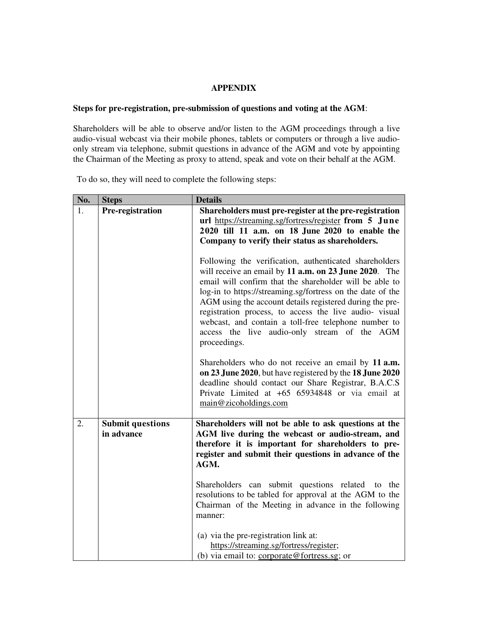# **APPENDIX**

# **Steps for pre-registration, pre-submission of questions and voting at the AGM**:

Shareholders will be able to observe and/or listen to the AGM proceedings through a live audio-visual webcast via their mobile phones, tablets or computers or through a live audioonly stream via telephone, submit questions in advance of the AGM and vote by appointing the Chairman of the Meeting as proxy to attend, speak and vote on their behalf at the AGM.

To do so, they will need to complete the following steps:

| No. | <b>Steps</b>                          | <b>Details</b>                                                                                                                                                                                                                                                                                                                                                                                                                                                                         |
|-----|---------------------------------------|----------------------------------------------------------------------------------------------------------------------------------------------------------------------------------------------------------------------------------------------------------------------------------------------------------------------------------------------------------------------------------------------------------------------------------------------------------------------------------------|
| 1.  | Pre-registration                      | Shareholders must pre-register at the pre-registration<br>url https://streaming.sg/fortress/register from 5 June<br>2020 till 11 a.m. on 18 June 2020 to enable the<br>Company to verify their status as shareholders.                                                                                                                                                                                                                                                                 |
|     |                                       | Following the verification, authenticated shareholders<br>will receive an email by 11 a.m. on 23 June 2020. The<br>email will confirm that the shareholder will be able to<br>log-in to https://streaming.sg/fortress on the date of the<br>AGM using the account details registered during the pre-<br>registration process, to access the live audio- visual<br>webcast, and contain a toll-free telephone number to<br>access the live audio-only stream of the AGM<br>proceedings. |
|     |                                       | Shareholders who do not receive an email by 11 a.m.<br>on 23 June 2020, but have registered by the 18 June 2020<br>deadline should contact our Share Registrar, B.A.C.S<br>Private Limited at +65 65934848 or via email at<br>main@zicoholdings.com                                                                                                                                                                                                                                    |
| 2.  | <b>Submit questions</b><br>in advance | Shareholders will not be able to ask questions at the<br>AGM live during the webcast or audio-stream, and<br>therefore it is important for shareholders to pre-<br>register and submit their questions in advance of the<br>AGM.                                                                                                                                                                                                                                                       |
|     |                                       | Shareholders can submit questions related to the<br>resolutions to be tabled for approval at the AGM to the<br>Chairman of the Meeting in advance in the following<br>manner:                                                                                                                                                                                                                                                                                                          |
|     |                                       | (a) via the pre-registration link at:<br>https://streaming.sg/fortress/register;<br>(b) via email to: corporate@fortress.sg; or                                                                                                                                                                                                                                                                                                                                                        |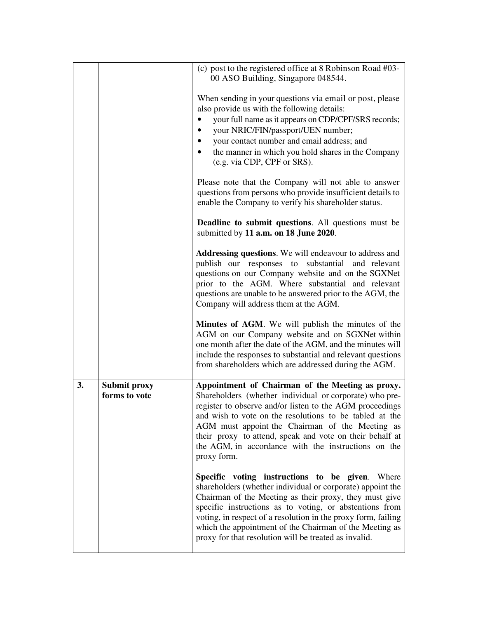|    |                               | (c) post to the registered office at 8 Robinson Road #03-<br>00 ASO Building, Singapore 048544.                                                                                                                                                                                                                                                                                                                         |
|----|-------------------------------|-------------------------------------------------------------------------------------------------------------------------------------------------------------------------------------------------------------------------------------------------------------------------------------------------------------------------------------------------------------------------------------------------------------------------|
|    |                               | When sending in your questions via email or post, please<br>also provide us with the following details:<br>your full name as it appears on CDP/CPF/SRS records;<br>$\bullet$                                                                                                                                                                                                                                            |
|    |                               | your NRIC/FIN/passport/UEN number;                                                                                                                                                                                                                                                                                                                                                                                      |
|    |                               | your contact number and email address; and                                                                                                                                                                                                                                                                                                                                                                              |
|    |                               | the manner in which you hold shares in the Company<br>(e.g. via CDP, CPF or SRS).                                                                                                                                                                                                                                                                                                                                       |
|    |                               | Please note that the Company will not able to answer<br>questions from persons who provide insufficient details to<br>enable the Company to verify his shareholder status.                                                                                                                                                                                                                                              |
|    |                               | Deadline to submit questions. All questions must be<br>submitted by 11 a.m. on 18 June 2020.                                                                                                                                                                                                                                                                                                                            |
|    |                               | Addressing questions. We will endeavour to address and<br>publish our responses to substantial and relevant<br>questions on our Company website and on the SGXNet<br>prior to the AGM. Where substantial and relevant<br>questions are unable to be answered prior to the AGM, the<br>Company will address them at the AGM.                                                                                             |
|    |                               | <b>Minutes of AGM.</b> We will publish the minutes of the<br>AGM on our Company website and on SGXNet within<br>one month after the date of the AGM, and the minutes will<br>include the responses to substantial and relevant questions                                                                                                                                                                                |
|    |                               | from shareholders which are addressed during the AGM.                                                                                                                                                                                                                                                                                                                                                                   |
| 3. | Submit proxy<br>forms to vote | Appointment of Chairman of the Meeting as proxy.<br>Shareholders (whether individual or corporate) who pre-<br>register to observe and/or listen to the AGM proceedings<br>and wish to vote on the resolutions to be tabled at the<br>AGM must appoint the Chairman of the Meeting as<br>their proxy to attend, speak and vote on their behalf at<br>the AGM, in accordance with the instructions on the<br>proxy form. |
|    |                               | Specific voting instructions to be given. Where<br>shareholders (whether individual or corporate) appoint the<br>Chairman of the Meeting as their proxy, they must give<br>specific instructions as to voting, or abstentions from<br>voting, in respect of a resolution in the proxy form, failing<br>which the appointment of the Chairman of the Meeting as<br>proxy for that resolution will be treated as invalid. |